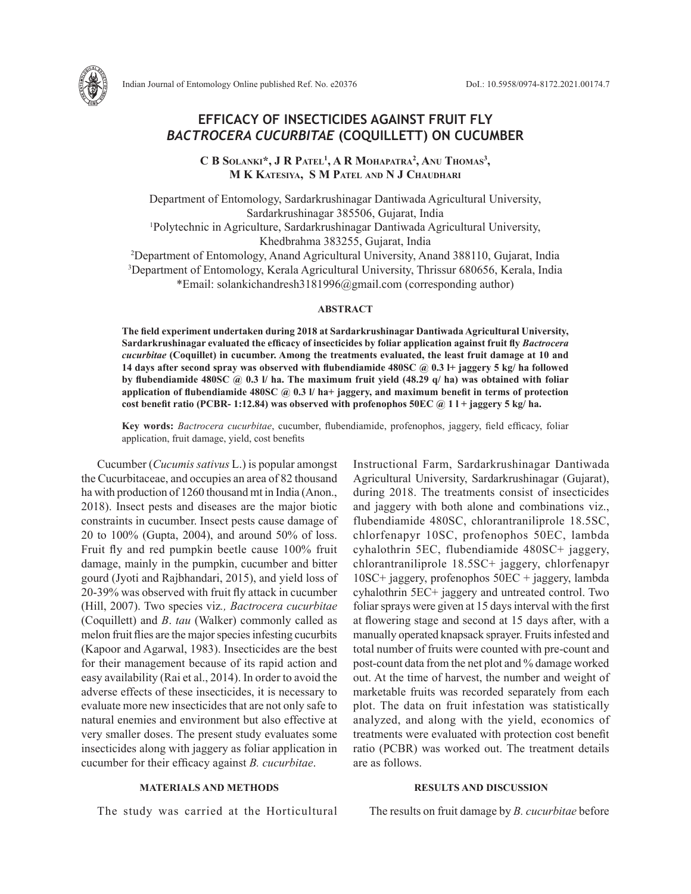

# **EFFICACY OF INSECTICIDES AGAINST FRUIT FLY**  *BACTROCERA CUCURBITAE* **(COQUILLETT) ON CUCUMBER**

**C B Solanki\*, J R Patel1 , A R Mohapatra2 , Anu Thomas3 , M K Katesiya, S M Patel and N J Chaudhari**

Department of Entomology, Sardarkrushinagar Dantiwada Agricultural University, Sardarkrushinagar 385506, Gujarat, India 1 Polytechnic in Agriculture, Sardarkrushinagar Dantiwada Agricultural University, Khedbrahma 383255, Gujarat, India

2 Department of Entomology, Anand Agricultural University, Anand 388110, Gujarat, India 3 Department of Entomology, Kerala Agricultural University, Thrissur 680656, Kerala, India \*Email: solankichandresh3181996@gmail.com (corresponding author)

## **ABSTRACT**

**The field experiment undertaken during 2018 at Sardarkrushinagar Dantiwada Agricultural University, Sardarkrushinagar evaluated the efficacy of insecticides by foliar application against fruit fly** *Bactrocera cucurbitae* **(Coquillet) in cucumber. Among the treatments evaluated, the least fruit damage at 10 and 14 days after second spray was observed with flubendiamide 480SC @ 0.3 l+ jaggery 5 kg/ ha followed by flubendiamide 480SC @ 0.3 l/ ha. The maximum fruit yield (48.29 q/ ha) was obtained with foliar application of flubendiamide 480SC @ 0.3 l/ ha+ jaggery, and maximum benefit in terms of protection cost benefit ratio (PCBR- 1:12.84) was observed with profenophos 50EC @ 1 l + jaggery 5 kg/ ha.** 

**Key words:** *Bactrocera cucurbitae*, cucumber, flubendiamide, profenophos, jaggery, field efficacy, foliar application, fruit damage, yield, cost benefits

Cucumber (*Cucumis sativus* L.) is popular amongst the Cucurbitaceae, and occupies an area of 82 thousand ha with production of 1260 thousand mt in India (Anon., 2018). Insect pests and diseases are the major biotic constraints in cucumber. Insect pests cause damage of 20 to 100% (Gupta, 2004), and around 50% of loss. Fruit fly and red pumpkin beetle cause 100% fruit damage, mainly in the pumpkin, cucumber and bitter gourd (Jyoti and Rajbhandari, 2015), and yield loss of 20-39% was observed with fruit fly attack in cucumber (Hill, 2007). Two species viz*., Bactrocera cucurbitae*  (Coquillett) and *B*. *tau* (Walker) commonly called as melon fruit flies are the major species infesting cucurbits (Kapoor and Agarwal, 1983). Insecticides are the best for their management because of its rapid action and easy availability (Rai et al., 2014). In order to avoid the adverse effects of these insecticides, it is necessary to evaluate more new insecticides that are not only safe to natural enemies and environment but also effective at very smaller doses. The present study evaluates some insecticides along with jaggery as foliar application in cucumber for their efficacy against *B. cucurbitae*.

### **MATERIALS AND METHODS**

The study was carried at the Horticultural

Instructional Farm, Sardarkrushinagar Dantiwada Agricultural University, Sardarkrushinagar (Gujarat), during 2018. The treatments consist of insecticides and jaggery with both alone and combinations viz., flubendiamide 480SC, chlorantraniliprole 18.5SC, chlorfenapyr 10SC, profenophos 50EC, lambda cyhalothrin 5EC, flubendiamide 480SC+ jaggery, chlorantraniliprole 18.5SC+ jaggery, chlorfenapyr 10SC+ jaggery, profenophos 50EC + jaggery, lambda cyhalothrin 5EC+ jaggery and untreated control. Two foliar sprays were given at 15 days interval with the first at flowering stage and second at 15 days after, with a manually operated knapsack sprayer. Fruits infested and total number of fruits were counted with pre-count and post-count data from the net plot and % damage worked out. At the time of harvest, the number and weight of marketable fruits was recorded separately from each plot. The data on fruit infestation was statistically analyzed, and along with the yield, economics of treatments were evaluated with protection cost benefit ratio (PCBR) was worked out. The treatment details are as follows.

### **RESULTS AND DISCUSSION**

The results on fruit damage by *B. cucurbitae* before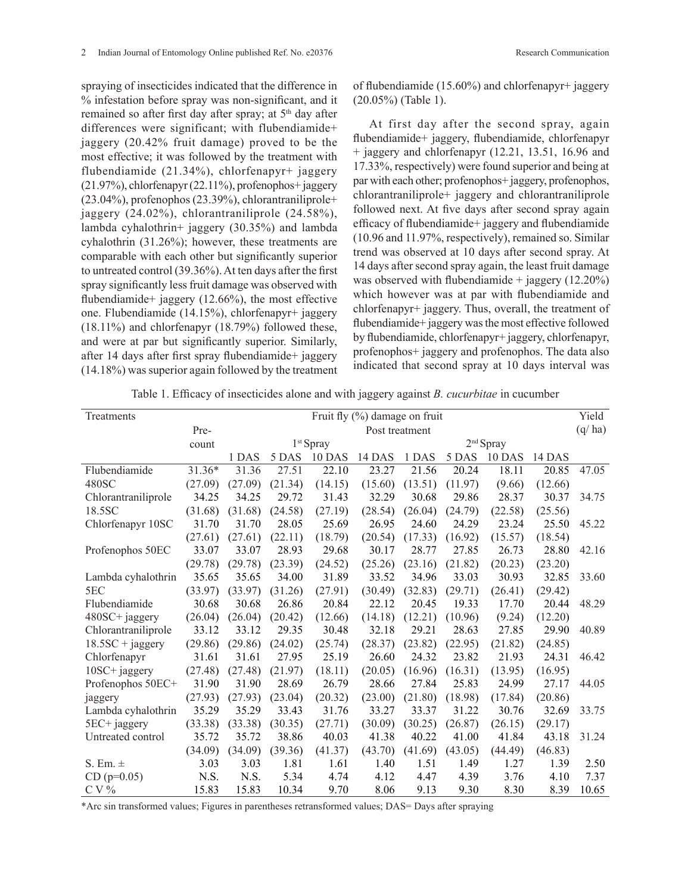spraying of insecticides indicated that the difference in % infestation before spray was non-significant, and it remained so after first day after spray; at 5<sup>th</sup> day after differences were significant; with flubendiamide+ jaggery (20.42% fruit damage) proved to be the most effective; it was followed by the treatment with flubendiamide (21.34%), chlorfenapyr+ jaggery (21.97%), chlorfenapyr (22.11%), profenophos+ jaggery (23.04%), profenophos (23.39%), chlorantraniliprole+ jaggery (24.02%), chlorantraniliprole (24.58%), lambda cyhalothrin+ jaggery (30.35%) and lambda cyhalothrin (31.26%); however, these treatments are comparable with each other but significantly superior to untreated control (39.36%). At ten days after the first spray significantly less fruit damage was observed with flubendiamide+ jaggery (12.66%), the most effective one. Flubendiamide (14.15%), chlorfenapyr+ jaggery (18.11%) and chlorfenapyr (18.79%) followed these, and were at par but significantly superior. Similarly, after 14 days after first spray flubendiamide+ jaggery (14.18%) was superior again followed by the treatment of flubendiamide (15.60%) and chlorfenapyr+ jaggery (20.05%) (Table 1).

At first day after the second spray, again flubendiamide+ jaggery, flubendiamide, chlorfenapyr + jaggery and chlorfenapyr (12.21, 13.51, 16.96 and 17.33%, respectively) were found superior and being at par with each other; profenophos+ jaggery, profenophos, chlorantraniliprole+ jaggery and chlorantraniliprole followed next. At five days after second spray again efficacy of flubendiamide+ jaggery and flubendiamide (10.96 and 11.97%, respectively), remained so. Similar trend was observed at 10 days after second spray. At 14 days after second spray again, the least fruit damage was observed with flubendiamide  $+$  jaggery (12.20%) which however was at par with flubendiamide and chlorfenapyr+ jaggery. Thus, overall, the treatment of flubendiamide+ jaggery was the most effective followed by flubendiamide, chlorfenapyr+ jaggery, chlorfenapyr, profenophos+ jaggery and profenophos. The data also indicated that second spray at 10 days interval was

| Treatments          | Fruit fly (%) damage on fruit |         |         |                       |                    |         |         |         |         |        |
|---------------------|-------------------------------|---------|---------|-----------------------|--------------------|---------|---------|---------|---------|--------|
|                     | Pre-                          |         |         |                       | Post treatment     |         |         |         |         | (q/ha) |
|                     | count                         |         |         | 1 <sup>st</sup> Spray | $2^{\rm nd}$ Spray |         |         |         |         |        |
|                     |                               | 1 DAS   | 5 DAS   | 10 DAS                | 14 DAS             | 1 DAS   | 5 DAS   | 10 DAS  | 14 DAS  |        |
| Flubendiamide       | 31.36*                        | 31.36   | 27.51   | $\overline{2}$ 2.10   | 23.27              | 21.56   | 20.24   | 18.11   | 20.85   | 47.05  |
| 480SC               | (27.09)                       | (27.09) | (21.34) | (14.15)               | (15.60)            | (13.51) | (11.97) | (9.66)  | (12.66) |        |
| Chlorantraniliprole | 34.25                         | 34.25   | 29.72   | 31.43                 | 32.29              | 30.68   | 29.86   | 28.37   | 30.37   | 34.75  |
| 18.5SC              | (31.68)                       | (31.68) | (24.58) | (27.19)               | (28.54)            | (26.04) | (24.79) | (22.58) | (25.56) |        |
| Chlorfenapyr 10SC   | 31.70                         | 31.70   | 28.05   | 25.69                 | 26.95              | 24.60   | 24.29   | 23.24   | 25.50   | 45.22  |
|                     | (27.61)                       | (27.61) | (22.11) | (18.79)               | (20.54)            | (17.33) | (16.92) | (15.57) | (18.54) |        |
| Profenophos 50EC    | 33.07                         | 33.07   | 28.93   | 29.68                 | 30.17              | 28.77   | 27.85   | 26.73   | 28.80   | 42.16  |
|                     | (29.78)                       | (29.78) | (23.39) | (24.52)               | (25.26)            | (23.16) | (21.82) | (20.23) | (23.20) |        |
| Lambda cyhalothrin  | 35.65                         | 35.65   | 34.00   | 31.89                 | 33.52              | 34.96   | 33.03   | 30.93   | 32.85   | 33.60  |
| 5EC                 | (33.97)                       | (33.97) | (31.26) | (27.91)               | (30.49)            | (32.83) | (29.71) | (26.41) | (29.42) |        |
| Flubendiamide       | 30.68                         | 30.68   | 26.86   | 20.84                 | 22.12              | 20.45   | 19.33   | 17.70   | 20.44   | 48.29  |
| 480SC+ jaggery      | (26.04)                       | (26.04) | (20.42) | (12.66)               | (14.18)            | (12.21) | (10.96) | (9.24)  | (12.20) |        |
| Chlorantraniliprole | 33.12                         | 33.12   | 29.35   | 30.48                 | 32.18              | 29.21   | 28.63   | 27.85   | 29.90   | 40.89  |
| $18.5SC + jagger$   | (29.86)                       | (29.86) | (24.02) | (25.74)               | (28.37)            | (23.82) | (22.95) | (21.82) | (24.85) |        |
| Chlorfenapyr        | 31.61                         | 31.61   | 27.95   | 25.19                 | 26.60              | 24.32   | 23.82   | 21.93   | 24.31   | 46.42  |
| 10SC+ jaggery       | (27.48)                       | (27.48) | (21.97) | (18.11)               | (20.05)            | (16.96) | (16.31) | (13.95) | (16.95) |        |
| Profenophos 50EC+   | 31.90                         | 31.90   | 28.69   | 26.79                 | 28.66              | 27.84   | 25.83   | 24.99   | 27.17   | 44.05  |
| jaggery             | (27.93)                       | (27.93) | (23.04) | (20.32)               | (23.00)            | (21.80) | (18.98) | (17.84) | (20.86) |        |
| Lambda cyhalothrin  | 35.29                         | 35.29   | 33.43   | 31.76                 | 33.27              | 33.37   | 31.22   | 30.76   | 32.69   | 33.75  |
| 5EC+ jaggery        | (33.38)                       | (33.38) | (30.35) | (27.71)               | (30.09)            | (30.25) | (26.87) | (26.15) | (29.17) |        |
| Untreated control   | 35.72                         | 35.72   | 38.86   | 40.03                 | 41.38              | 40.22   | 41.00   | 41.84   | 43.18   | 31.24  |
|                     | (34.09)                       | (34.09) | (39.36) | (41.37)               | (43.70)            | (41.69) | (43.05) | (44.49) | (46.83) |        |
| S. Em. $\pm$        | 3.03                          | 3.03    | 1.81    | 1.61                  | 1.40               | 1.51    | 1.49    | 1.27    | 1.39    | 2.50   |
| $CD (p=0.05)$       | N.S.                          | N.S.    | 5.34    | 4.74                  | 4.12               | 4.47    | 4.39    | 3.76    | 4.10    | 7.37   |
| $CV\%$              | 15.83                         | 15.83   | 10.34   | 9.70                  | 8.06               | 9.13    | 9.30    | 8.30    | 8.39    | 10.65  |

Table 1. Efficacy of insecticides alone and with jaggery against *B. cucurbitae* in cucumber

\*Arc sin transformed values; Figures in parentheses retransformed values; DAS= Days after spraying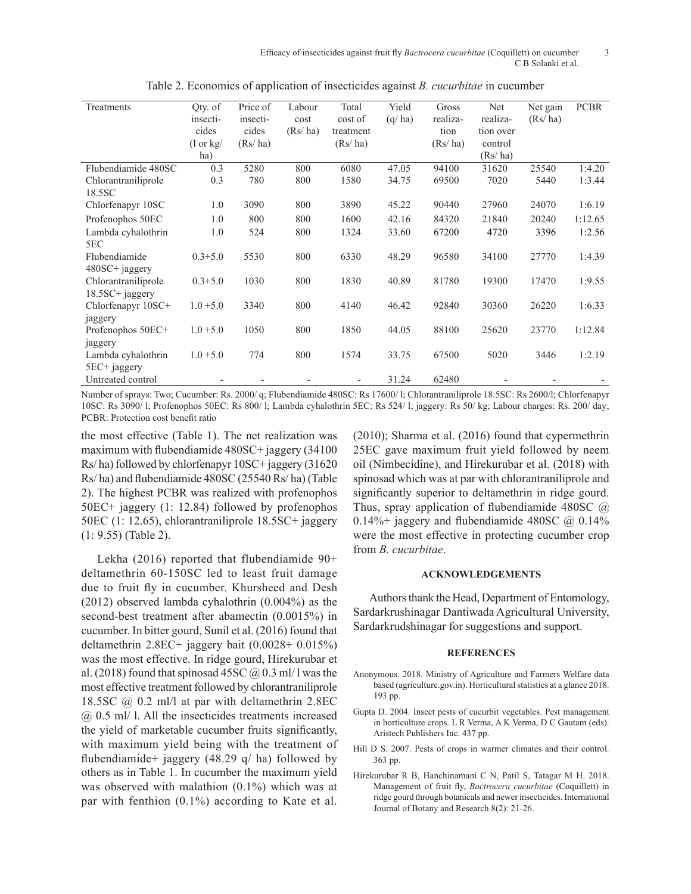| Treatments          | Qty. of<br>insecti-         | Price of<br>insecti- | Labour<br>cost | Total<br>cost of         | Yield<br>(q/ha) | Gross<br>realiza- | Net<br>realiza- | Net gain<br>(Rs/ha) | <b>PCBR</b> |
|---------------------|-----------------------------|----------------------|----------------|--------------------------|-----------------|-------------------|-----------------|---------------------|-------------|
|                     | cides                       | cides                | (Rs/ha)        | treatment                |                 | tion              | tion over       |                     |             |
|                     | $(1 \text{ or } \text{kg})$ | (Rs/ha)              |                | (Rs/ha)                  |                 | (Rs/ha)           | control         |                     |             |
|                     | ha)                         |                      |                |                          |                 |                   | (Rs/ha)         |                     |             |
| Flubendiamide 480SC | 0.3                         | 5280                 | 800            | 6080                     | 47.05           | 94100             | 31620           | 25540               | 1:4.20      |
| Chlorantraniliprole | 0.3                         | 780                  | 800            | 1580                     | 34.75           | 69500             | 7020            | 5440                | 1:3.44      |
| 18.5SC              |                             |                      |                |                          |                 |                   |                 |                     |             |
| Chlorfenapyr 10SC   | 1.0                         | 3090                 | 800            | 3890                     | 45.22           | 90440             | 27960           | 24070               | 1:6.19      |
| Profenophos 50EC    | 1.0                         | 800                  | 800            | 1600                     | 42.16           | 84320             | 21840           | 20240               | 1:12.65     |
| Lambda cyhalothrin  | 1.0                         | 524                  | 800            | 1324                     | 33.60           | 67200             | 4720            | 3396                | 1:2.56      |
| 5EC                 |                             |                      |                |                          |                 |                   |                 |                     |             |
| Flubendiamide       | $0.3 + 5.0$                 | 5530                 | 800            | 6330                     | 48.29           | 96580             | 34100           | 27770               | 1:4.39      |
| $480SC +$ jaggery   |                             |                      |                |                          |                 |                   |                 |                     |             |
| Chlorantraniliprole | $0.3 + 5.0$                 | 1030                 | 800            | 1830                     | 40.89           | 81780             | 19300           | 17470               | 1:9.55      |
| $18.5SC + jagger$   |                             |                      |                |                          |                 |                   |                 |                     |             |
| Chlorfenapyr 10SC+  | $1.0 + 5.0$                 | 3340                 | 800            | 4140                     | 46.42           | 92840             | 30360           | 26220               | 1:6.33      |
| jaggery             |                             |                      |                |                          |                 |                   |                 |                     |             |
| Profenophos 50EC+   | $1.0 + 5.0$                 | 1050                 | 800            | 1850                     | 44.05           | 88100             | 25620           | 23770               | 1:12.84     |
| jaggery             |                             |                      |                |                          |                 |                   |                 |                     |             |
| Lambda cyhalothrin  | $1.0 + 5.0$                 | 774                  | 800            | 1574                     | 33.75           | 67500             | 5020            | 3446                | 1:2.19      |
| 5EC+ jaggery        |                             |                      |                |                          |                 |                   |                 |                     |             |
| Untreated control   |                             |                      |                | $\overline{\phantom{a}}$ | 31.24           | 62480             |                 |                     |             |

Table 2. Economics of application of insecticides against *B. cucurbitae* in cucumber

Number of sprays: Two; Cucumber: Rs. 2000/ q; Flubendiamide 480SC: Rs 17600/ l; Chlorantraniliprole 18.5SC: Rs 2600/l; Chlorfenapyr 10SC: Rs 3090/ l; Profenophos 50EC: Rs 800/ l; Lambda cyhalothrin 5EC: Rs 524/ l; jaggery: Rs 50/ kg; Labour charges: Rs. 200/ day; PCBR: Protection cost benefit ratio

the most effective (Table 1). The net realization was maximum with flubendiamide 480SC+ jaggery (34100 Rs/ ha) followed by chlorfenapyr 10SC+ jaggery (31620 Rs/ ha) and flubendiamide 480SC (25540 Rs/ ha) (Table 2). The highest PCBR was realized with profenophos 50EC+ jaggery (1: 12.84) followed by profenophos 50EC (1: 12.65), chlorantraniliprole 18.5SC+ jaggery (1: 9.55) (Table 2).

Lekha (2016) reported that flubendiamide 90+ deltamethrin 60-150SC led to least fruit damage due to fruit fly in cucumber. Khursheed and Desh (2012) observed lambda cyhalothrin (0.004%) as the second-best treatment after abamectin (0.0015%) in cucumber. In bitter gourd, Sunil et al. (2016) found that deltamethrin 2.8EC+ jaggery bait (0.0028+ 0.015%) was the most effective. In ridge gourd, Hirekurubar et al. (2018) found that spinosad 45SC  $\omega$  0.3 ml/ l was the most effective treatment followed by chlorantraniliprole 18.5SC @ 0.2 ml/l at par with deltamethrin 2.8EC @ 0.5 ml/ l. All the insecticides treatments increased the yield of marketable cucumber fruits significantly, with maximum yield being with the treatment of flubendiamide+ jaggery (48.29 q/ ha) followed by others as in Table 1. In cucumber the maximum yield was observed with malathion (0.1%) which was at par with fenthion (0.1%) according to Kate et al.

(2010); Sharma et al. (2016) found that cypermethrin 25EC gave maximum fruit yield followed by neem oil (Nimbecidine), and Hirekurubar et al. (2018) with spinosad which was at par with chlorantraniliprole and significantly superior to deltamethrin in ridge gourd. Thus, spray application of flubendiamide 480SC  $\omega$ 0.14%+ jaggery and flubendiamide 480SC  $@$  0.14% were the most effective in protecting cucumber crop from *B. cucurbitae*.

#### **ACKNOWLEDGEMENTS**

Authors thank the Head, Department of Entomology, Sardarkrushinagar Dantiwada Agricultural University, Sardarkrudshinagar for suggestions and support.

#### **REFERENCES**

- Anonymous. 2018. Ministry of Agriculture and Farmers Welfare data based (agriculture.gov.in). Horticultural statistics at a glance 2018. 193 pp.
- Gupta D. 2004. Insect pests of cucurbit vegetables. Pest management in horticulture crops. L R Verma, A K Verma, D C Gautam (eds). Aristech Publishers Inc. 437 pp.
- Hill D S. 2007. Pests of crops in warmer climates and their control. 363 pp.
- Hirekurubar R B, Hanchinamani C N, Patil S, Tatagar M H. 2018. Management of fruit fly, *Bactrocera cucurbitae* (Coquillett) in ridge gourd through botanicals and newer insecticides. International Journal of Botany and Research 8(2): 21-26.